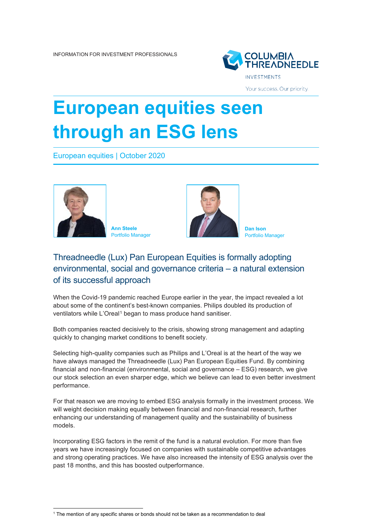

Your success. Our priority.

## **European equities seen through an ESG lens**

European equities | October 2020



**Ann Steele** Portfolio Manager



**Dan Ison** Portfolio Manager

## Threadneedle (Lux) Pan European Equities is formally adopting environmental, social and governance criteria – a natural extension of its successful approach

When the Covid-19 pandemic reached Europe earlier in the year, the impact revealed a lot about some of the continent's best-known companies. Philips doubled its production of ventilators while L'Oreal<sup>[1](#page-0-0)</sup> began to mass produce hand sanitiser.

Both companies reacted decisively to the crisis, showing strong management and adapting quickly to changing market conditions to benefit society.

Selecting high-quality companies such as Philips and L'Oreal is at the heart of the way we have always managed the Threadneedle (Lux) Pan European Equities Fund. By combining financial and non-financial (environmental, social and governance – ESG) research, we give our stock selection an even sharper edge, which we believe can lead to even better investment performance.

For that reason we are moving to embed ESG analysis formally in the investment process. We will weight decision making equally between financial and non-financial research, further enhancing our understanding of management quality and the sustainability of business models.

Incorporating ESG factors in the remit of the fund is a natural evolution. For more than five years we have increasingly focused on companies with sustainable competitive advantages and strong operating practices. We have also increased the intensity of ESG analysis over the past 18 months, and this has boosted outperformance.

<span id="page-0-0"></span><sup>1</sup> The mention of any specific shares or bonds should not be taken as a recommendation to deal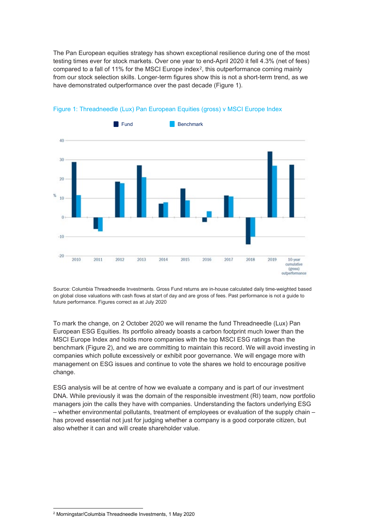The Pan European equities strategy has shown exceptional resilience during one of the most testing times ever for stock markets. Over one year to end-April 2020 it fell 4.3% (net of fees) compared to a fall of 11% for the MSCI Europe index[2](#page-1-0), this outperformance coming mainly from our stock selection skills. Longer-term figures show this is not a short-term trend, as we have demonstrated outperformance over the past decade (Figure 1).



## Figure 1: Threadneedle (Lux) Pan European Equities (gross) v MSCI Europe Index

Source: Columbia Threadneedle Investments. Gross Fund returns are in-house calculated daily time-weighted based on global close valuations with cash flows at start of day and are gross of fees. Past performance is not a guide to future performance. Figures correct as at July 2020

To mark the change, on 2 October 2020 we will rename the fund Threadneedle (Lux) Pan European ESG Equities. Its portfolio already boasts a carbon footprint much lower than the MSCI Europe Index and holds more companies with the top MSCI ESG ratings than the benchmark (Figure 2), and we are committing to maintain this record. We will avoid investing in companies which pollute excessively or exhibit poor governance. We will engage more with management on ESG issues and continue to vote the shares we hold to encourage positive change.

ESG analysis will be at centre of how we evaluate a company and is part of our investment DNA. While previously it was the domain of the responsible investment (RI) team, now portfolio managers join the calls they have with companies. Understanding the factors underlying ESG – whether environmental pollutants, treatment of employees or evaluation of the supply chain – has proved essential not just for judging whether a company is a good corporate citizen, but also whether it can and will create shareholder value.

<span id="page-1-0"></span><sup>2</sup> Morningstar/Columbia Threadneedle Investments, 1 May 2020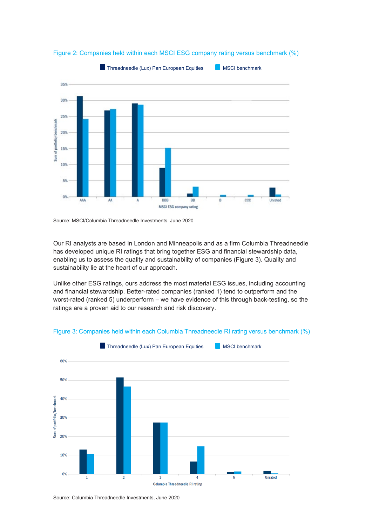

Figure 2: Companies held within each MSCI ESG company rating versus benchmark (%)

Source: MSCI/Columbia Threadneedle Investments, June 2020

Our RI analysts are based in London and Minneapolis and as a firm Columbia Threadneedle has developed unique RI ratings that bring together ESG and financial stewardship data, enabling us to assess the quality and sustainability of companies (Figure 3). Quality and sustainability lie at the heart of our approach.

Unlike other ESG ratings, ours address the most material ESG issues, including accounting and financial stewardship. Better-rated companies (ranked 1) tend to outperform and the worst-rated (ranked 5) underperform – we have evidence of this through back-testing, so the ratings are a proven aid to our research and risk discovery.





Source: Columbia Threadneedle Investments, June 2020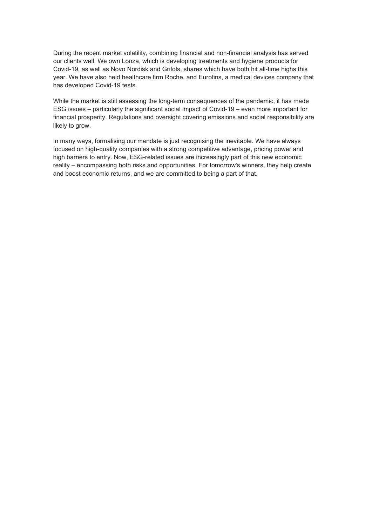During the recent market volatility, combining financial and non-financial analysis has served our clients well. We own Lonza, which is developing treatments and hygiene products for Covid-19, as well as Novo Nordisk and Grifols, shares which have both hit all-time highs this year. We have also held healthcare firm Roche, and Eurofins, a medical devices company that has developed Covid-19 tests.

While the market is still assessing the long-term consequences of the pandemic, it has made ESG issues – particularly the significant social impact of Covid-19 – even more important for financial prosperity. Regulations and oversight covering emissions and social responsibility are likely to grow.

In many ways, formalising our mandate is just recognising the inevitable. We have always focused on high-quality companies with a strong competitive advantage, pricing power and high barriers to entry. Now, ESG-related issues are increasingly part of this new economic reality – encompassing both risks and opportunities. For tomorrow's winners, they help create and boost economic returns, and we are committed to being a part of that.